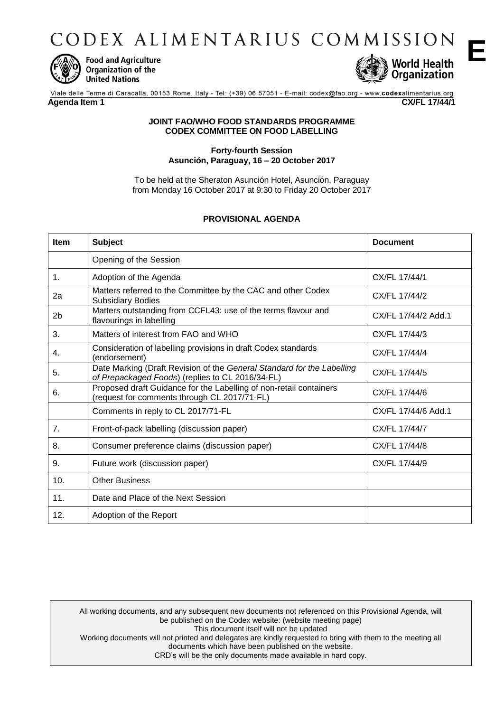CODEX ALIMENTARIUS COMMISSION



**Food and Agriculture** Organization of the **United Nations** 



**E**

Viale delle Terme di Caracalla, 00153 Rome, Italy - Tel: (+39) 06 57051 - E-mail: codex@fao.org - www.codexalimentarius.org **Agenda Item 1 CX/FL 17/44/1**

### **JOINT FAO/WHO FOOD STANDARDS PROGRAMME CODEX COMMITTEE ON FOOD LABELLING**

### **Forty-fourth Session Asunción, Paraguay, 16 – 20 October 2017**

To be held at the Sheraton Asunción Hotel, Asunción, Paraguay from Monday 16 October 2017 at 9:30 to Friday 20 October 2017

# **PROVISIONAL AGENDA**

| <b>Item</b>    | <b>Subject</b>                                                                                                             | <b>Document</b>     |
|----------------|----------------------------------------------------------------------------------------------------------------------------|---------------------|
|                | Opening of the Session                                                                                                     |                     |
| 1 <sub>1</sub> | Adoption of the Agenda                                                                                                     | CX/FL 17/44/1       |
| 2a             | Matters referred to the Committee by the CAC and other Codex<br><b>Subsidiary Bodies</b>                                   | CX/FL 17/44/2       |
| 2 <sub>b</sub> | Matters outstanding from CCFL43: use of the terms flavour and<br>flavourings in labelling                                  | CX/FL 17/44/2 Add.1 |
| 3.             | Matters of interest from FAO and WHO                                                                                       | CX/FL 17/44/3       |
| 4.             | Consideration of labelling provisions in draft Codex standards<br>(endorsement)                                            | CX/FL 17/44/4       |
| 5.             | Date Marking (Draft Revision of the General Standard for the Labelling<br>of Prepackaged Foods) (replies to CL 2016/34-FL) | CX/FL 17/44/5       |
| 6.             | Proposed draft Guidance for the Labelling of non-retail containers<br>(request for comments through CL 2017/71-FL)         | CX/FL 17/44/6       |
|                | Comments in reply to CL 2017/71-FL                                                                                         | CX/FL 17/44/6 Add.1 |
| 7.             | Front-of-pack labelling (discussion paper)                                                                                 | CX/FL 17/44/7       |
| 8.             | Consumer preference claims (discussion paper)                                                                              | CX/FL 17/44/8       |
| 9.             | Future work (discussion paper)                                                                                             | CX/FL 17/44/9       |
| 10.            | <b>Other Business</b>                                                                                                      |                     |
| 11.            | Date and Place of the Next Session                                                                                         |                     |
| 12.            | Adoption of the Report                                                                                                     |                     |

All working documents, and any subsequent new documents not referenced on this Provisional Agenda, will be published on the Codex website: (website meeting page) This document itself will not be updated Working documents will not printed and delegates are kindly requested to bring with them to the meeting all documents which have been published on the website. CRD's will be the only documents made available in hard copy.